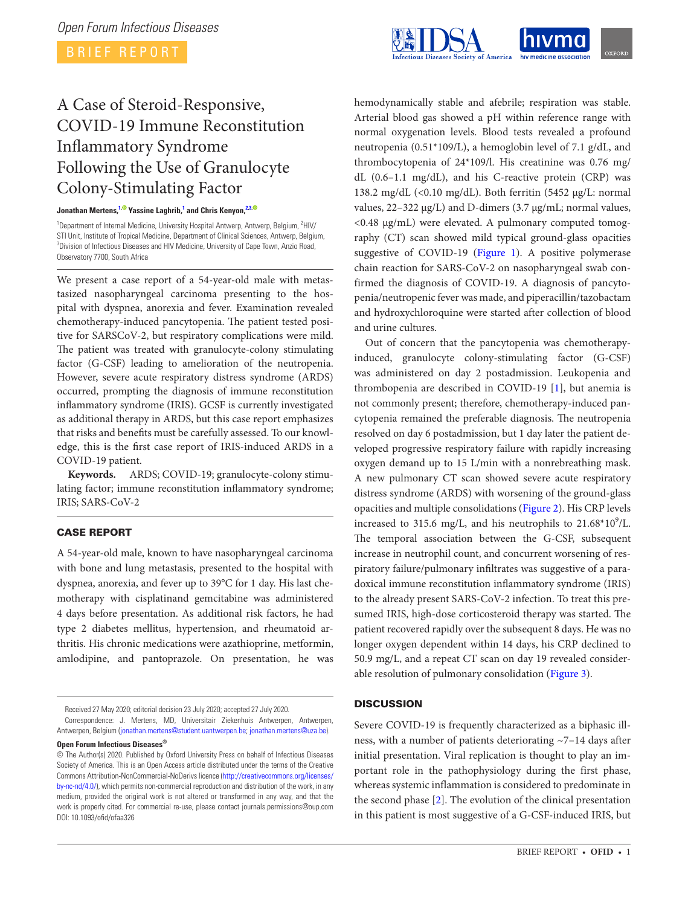

# A Case of Steroid-Responsive, COVID-19 Immune Reconstitution Inflammatory Syndrome Following the Use of Granulocyte Colony-Stimulating Factor

### **Jonathan Mertens, [1](#page-0-0)[,](http://orcid.org/0000-0002-4822-4113) Yassine Laghrib, [1](#page-0-0) and Chris Kenyon, [2](#page-0-1)[,3](#page-0-2)[,](http://orcid.org/0000-0001-9861-8033)**

<span id="page-0-2"></span><span id="page-0-1"></span><span id="page-0-0"></span><sup>1</sup>Department of Internal Medicine, University Hospital Antwerp, Antwerp, Belgium, <sup>2</sup>HIV/ STI Unit, Institute of Tropical Medicine, Department of Clinical Sciences, Antwerp, Belgium, 3 Division of Infectious Diseases and HIV Medicine, University of Cape Town, Anzio Road, Observatory 7700, South Africa

We present a case report of a 54-year-old male with metastasized nasopharyngeal carcinoma presenting to the hospital with dyspnea, anorexia and fever. Examination revealed chemotherapy-induced pancytopenia. The patient tested positive for SARSCoV-2, but respiratory complications were mild. The patient was treated with granulocyte-colony stimulating factor (G-CSF) leading to amelioration of the neutropenia. However, severe acute respiratory distress syndrome (ARDS) occurred, prompting the diagnosis of immune reconstitution inflammatory syndrome (IRIS). GCSF is currently investigated as additional therapy in ARDS, but this case report emphasizes that risks and benefits must be carefully assessed. To our knowledge, this is the first case report of IRIS-induced ARDS in a COVID-19 patient.

**Keywords.** ARDS; COVID-19; granulocyte-colony stimulating factor; immune reconstitution inflammatory syndrome; IRIS; SARS-CoV-2

## CASE REPORT

A 54-year-old male, known to have nasopharyngeal carcinoma with bone and lung metastasis, presented to the hospital with dyspnea, anorexia, and fever up to 39°C for 1 day. His last chemotherapy with cisplatinand gemcitabine was administered 4 days before presentation. As additional risk factors, he had type 2 diabetes mellitus, hypertension, and rheumatoid arthritis. His chronic medications were azathioprine, metformin, amlodipine, and pantoprazole. On presentation, he was

Received 27 May 2020; editorial decision 23 July 2020; accepted 27 July 2020.

**Open Forum Infectious Diseases®**

hemodynamically stable and afebrile; respiration was stable. Arterial blood gas showed a pH within reference range with normal oxygenation levels. Blood tests revealed a profound neutropenia (0.51\*109/L), a hemoglobin level of 7.1 g/dL, and thrombocytopenia of 24\*109/l. His creatinine was 0.76 mg/ dL (0.6–1.1 mg/dL), and his C-reactive protein (CRP) was 138.2 mg/dL  $\langle$  <0.10 mg/dL). Both ferritin (5452 µg/L: normal values, 22–322 µg/L) and D-dimers (3.7 µg/mL; normal values, <0.48 µg/mL) were elevated. A pulmonary computed tomography (CT) scan showed mild typical ground-glass opacities suggestive of COVID-19 [\(Figure 1\)](#page-1-0). A positive polymerase chain reaction for SARS-CoV-2 on nasopharyngeal swab confirmed the diagnosis of COVID-19. A diagnosis of pancytopenia/neutropenic fever was made, and piperacillin/tazobactam and hydroxychloroquine were started after collection of blood and urine cultures.

Out of concern that the pancytopenia was chemotherapyinduced, granulocyte colony-stimulating factor (G-CSF) was administered on day 2 postadmission. Leukopenia and thrombopenia are described in COVID-19 [[1](#page-2-0)], but anemia is not commonly present; therefore, chemotherapy-induced pancytopenia remained the preferable diagnosis. The neutropenia resolved on day 6 postadmission, but 1 day later the patient developed progressive respiratory failure with rapidly increasing oxygen demand up to 15 L/min with a nonrebreathing mask. A new pulmonary CT scan showed severe acute respiratory distress syndrome (ARDS) with worsening of the ground-glass opacities and multiple consolidations [\(Figure 2](#page-1-1)). His CRP levels increased to 315.6 mg/L, and his neutrophils to  $21.68*10^9$ /L. The temporal association between the G-CSF, subsequent increase in neutrophil count, and concurrent worsening of respiratory failure/pulmonary infiltrates was suggestive of a paradoxical immune reconstitution inflammatory syndrome (IRIS) to the already present SARS-CoV-2 infection. To treat this presumed IRIS, high-dose corticosteroid therapy was started. The patient recovered rapidly over the subsequent 8 days. He was no longer oxygen dependent within 14 days, his CRP declined to 50.9 mg/L, and a repeat CT scan on day 19 revealed considerable resolution of pulmonary consolidation [\(Figure 3](#page-1-2)).

## **DISCUSSION**

Severe COVID-19 is frequently characterized as a biphasic illness, with a number of patients deteriorating ~7–14 days after initial presentation. Viral replication is thought to play an important role in the pathophysiology during the first phase, whereas systemic inflammation is considered to predominate in the second phase [\[2\]](#page-2-1). The evolution of the clinical presentation in this patient is most suggestive of a G-CSF-induced IRIS, but

Correspondence: J. Mertens, MD, Universitair Ziekenhuis Antwerpen, Antwerpen, Antwerpen, Belgium ([jonathan.mertens@student.uantwerpen.be;](mailto:jonathan.mertens@student.uantwerpen.be?subject=) [jonathan.mertens@uza.be\)](mailto:jonathan.mertens@uza.be?subject=).

<sup>©</sup> The Author(s) 2020. Published by Oxford University Press on behalf of Infectious Diseases Society of America. This is an Open Access article distributed under the terms of the Creative Commons Attribution-NonCommercial-NoDerivs licence [\(http://creativecommons.org/licenses/](http://creativecommons.org/licenses/by-nc-nd/4.0/) [by-nc-nd/4.0/](http://creativecommons.org/licenses/by-nc-nd/4.0/)), which permits non-commercial reproduction and distribution of the work, in any medium, provided the original work is not altered or transformed in any way, and that the work is properly cited. For commercial re-use, please contact journals.permissions@oup.com DOI: 10.1093/ofid/ofaa326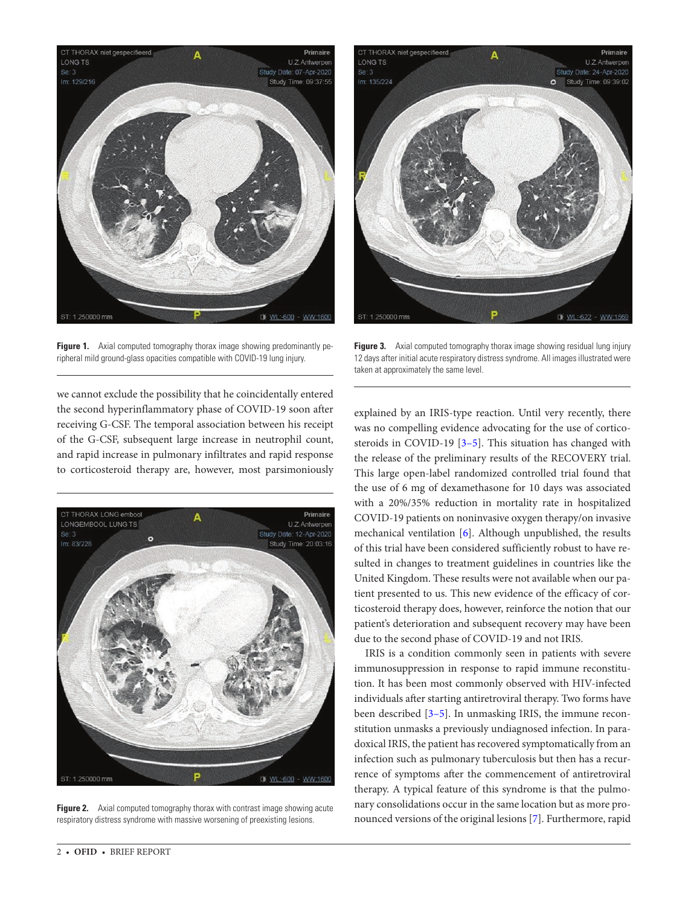

**Figure 1.** Axial computed tomography thorax image showing predominantly peripheral mild ground-glass opacities compatible with COVID-19 lung injury.

<span id="page-1-0"></span>we cannot exclude the possibility that he coincidentally entered the second hyperinflammatory phase of COVID-19 soon after receiving G-CSF. The temporal association between his receipt of the G-CSF, subsequent large increase in neutrophil count, and rapid increase in pulmonary infiltrates and rapid response to corticosteroid therapy are, however, most parsimoniously

<span id="page-1-1"></span>

**Figure 2.** Axial computed tomography thorax with contrast image showing acute respiratory distress syndrome with massive worsening of preexisting lesions.



**Figure 3.** Axial computed tomography thorax image showing residual lung injury 12 days after initial acute respiratory distress syndrome. All images illustrated were taken at approximately the same level.

<span id="page-1-2"></span>explained by an IRIS-type reaction. Until very recently, there was no compelling evidence advocating for the use of corticosteroids in COVID-19 [\[3](#page-2-2)–[5\]](#page-2-3). This situation has changed with the release of the preliminary results of the RECOVERY trial. This large open-label randomized controlled trial found that the use of 6 mg of dexamethasone for 10 days was associated with a 20%/35% reduction in mortality rate in hospitalized COVID-19 patients on noninvasive oxygen therapy/on invasive mechanical ventilation [[6](#page-2-4)]. Although unpublished, the results of this trial have been considered sufficiently robust to have resulted in changes to treatment guidelines in countries like the United Kingdom. These results were not available when our patient presented to us. This new evidence of the efficacy of corticosteroid therapy does, however, reinforce the notion that our patient's deterioration and subsequent recovery may have been due to the second phase of COVID-19 and not IRIS.

IRIS is a condition commonly seen in patients with severe immunosuppression in response to rapid immune reconstitution. It has been most commonly observed with HIV-infected individuals after starting antiretroviral therapy. Two forms have been described [[3](#page-2-2)[–5\]](#page-2-3). In unmasking IRIS, the immune reconstitution unmasks a previously undiagnosed infection. In paradoxical IRIS, the patient has recovered symptomatically from an infection such as pulmonary tuberculosis but then has a recurrence of symptoms after the commencement of antiretroviral therapy. A typical feature of this syndrome is that the pulmonary consolidations occur in the same location but as more pronounced versions of the original lesions [\[7\]](#page-2-5). Furthermore, rapid